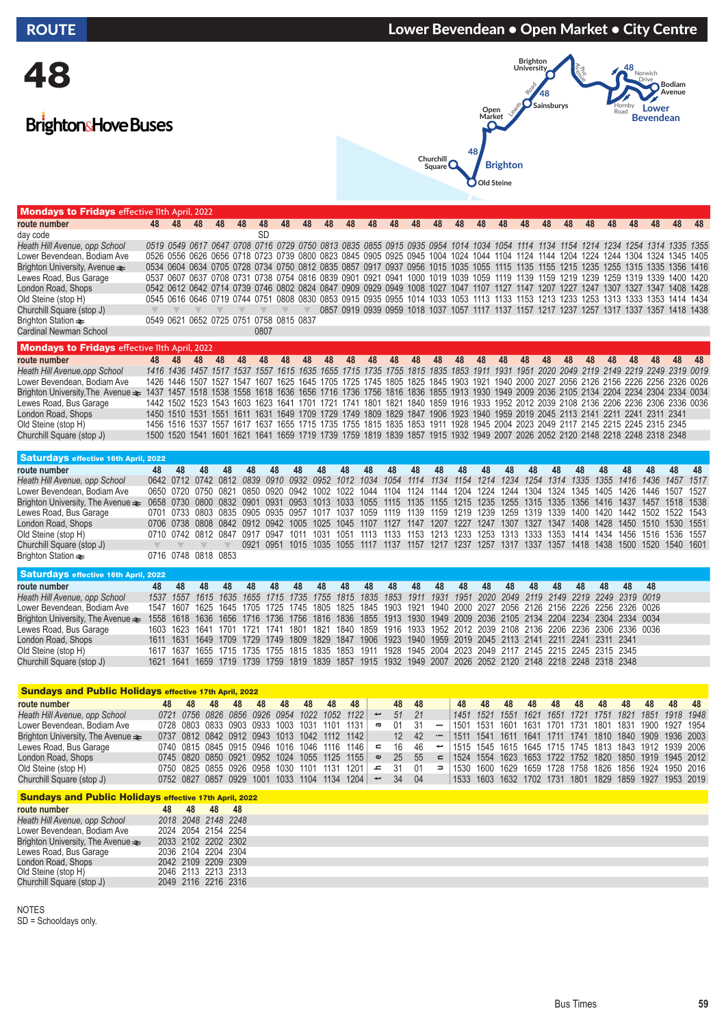# 48

## **BrightonsHove Buses**

ndays to Frida



 $wich$ 

**Bodiam Avenue**

| route number                                         | 48        | 48                       | 48   | 48        | 48                                                                                                                           | 48        | 48             | 48   | 48             | 48   | 48        | 48   | 48                                                                                                  | 48   | 48 | 48   | 48   | 48   | 48   | 48        | 48 | 48   | 48   | 48   | 48                                                                                                                                | 48 |
|------------------------------------------------------|-----------|--------------------------|------|-----------|------------------------------------------------------------------------------------------------------------------------------|-----------|----------------|------|----------------|------|-----------|------|-----------------------------------------------------------------------------------------------------|------|----|------|------|------|------|-----------|----|------|------|------|-----------------------------------------------------------------------------------------------------------------------------------|----|
| day code                                             |           |                          |      |           |                                                                                                                              | <b>SD</b> |                |      |                |      |           |      |                                                                                                     |      |    |      |      |      |      |           |    |      |      |      |                                                                                                                                   |    |
| Heath Hill Avenue, opp School                        |           |                          |      |           |                                                                                                                              |           |                |      |                |      |           |      |                                                                                                     |      |    |      |      |      |      |           |    |      |      |      | 0519 0549 0617 0647 0708 0716 0729 0750 0813 0835 0855 0915 0935 0954 1014 1034 1054 1114 1134 1154 1214 1234 1254 1314 1335 1355 |    |
| Lower Bevendean, Bodiam Ave                          |           |                          |      |           |                                                                                                                              |           |                |      |                |      |           |      |                                                                                                     |      |    |      |      |      |      |           |    |      |      |      | 0526 0556 0626 0656 0718 0723 0739 0800 0823 0845 0905 0925 0945 1004 1024 1044 1104 1124 1144 1204 1224 1244 1304 1324 1345 1405 |    |
| Brighton University, Avenue $\equiv$                 |           |                          |      |           | 0534 0604 0634 0705 0728 0734 0750 0812 0835 0857 0917 0937 0956 1015 1035 1055 1115 1135 1155 1215 1235 1255 1315 1335      |           |                |      |                |      |           |      |                                                                                                     |      |    |      |      |      |      |           |    |      |      |      | 1356 1416                                                                                                                         |    |
| Lewes Road, Bus Garage                               |           |                          |      |           | 0537 0607 0637 0708 0731 0738 0754 0816 0839 0901 0921 0941 1000 1019 1039 1059 1119 1139 1159 1219 1239 1259 1319 1339      |           |                |      |                |      |           |      |                                                                                                     |      |    |      |      |      |      |           |    |      |      |      | 1400 1420                                                                                                                         |    |
| London Road, Shops                                   |           |                          |      |           | 0542 0612 0642 0714 0739 0746 0802 0824 0847 0909 0929 0949 1008 1027 1047                                                   |           |                |      |                |      |           |      |                                                                                                     |      |    | 1107 | 1127 | 1147 | 1207 | 1227 1247 |    | 1307 | 1327 | 1347 | 1408 1428                                                                                                                         |    |
| Old Steine (stop H)                                  |           |                          |      |           |                                                                                                                              |           |                |      |                |      |           |      |                                                                                                     |      |    |      |      |      |      |           |    |      |      |      | 0545 0616 0646 0719 0744 0751 0808 0830 0853 0915 0935 0955 1014 1033 1053 1113 1133 1153 1213 1233 1253 1313 1333 1353 1414 1434 |    |
| Churchill Square (stop J)                            |           |                          |      |           |                                                                                                                              |           |                |      |                |      |           |      |                                                                                                     |      |    |      |      |      |      |           |    |      |      |      | 0857 0919 0939 0959 1018 1037 1057 1117 1137 1157 1217 1237 1257 1317 1337 1357 1418 1438                                         |    |
| Brighton Station $\equiv$                            |           | 0549 0621 0652 0725 0751 |      |           |                                                                                                                              |           | 0758 0815 0837 |      |                |      |           |      |                                                                                                     |      |    |      |      |      |      |           |    |      |      |      |                                                                                                                                   |    |
| Cardinal Newman School                               |           |                          |      |           |                                                                                                                              | 0807      |                |      |                |      |           |      |                                                                                                     |      |    |      |      |      |      |           |    |      |      |      |                                                                                                                                   |    |
| <b>Mondays to Fridays</b> effective lith April, 2022 |           |                          |      |           |                                                                                                                              |           |                |      |                |      |           |      |                                                                                                     |      |    |      |      |      |      |           |    |      |      |      |                                                                                                                                   |    |
| route number                                         | 48        | <b>48</b>                | 48   | 48        | 48                                                                                                                           | 48        | 48             | 48   | 48             | 48   | 48        | 48   | 48                                                                                                  | 48   | 48 | 48   | 48   | 48   | 48   | 48        | 48 | 48   | 48   | 48   | 48                                                                                                                                | 48 |
| Heath Hill Avenue, opp School                        |           | 1416 1436                |      | 1457 1517 | 1537                                                                                                                         | 1557      | 1615           |      | 1635 1655      |      |           |      | 1715 1735 1755 1815 1835 1853 1911                                                                  |      |    |      |      |      |      |           |    |      |      |      | 1931 1951 2020 2049 2119 2149 2219 2249 2319 0019                                                                                 |    |
| Lower Bevendean, Bodiam Ave                          |           | 1426 1446                | 1507 | 1527      | 1547                                                                                                                         | 1607      | 1625           |      |                |      |           |      |                                                                                                     |      |    |      |      |      |      |           |    |      |      |      | 1645 1705 1725 1745 1805 1825 1845 1903 1921 1940 2000 2027 2056 2126 2156 2226 2256 2326 0026                                    |    |
| Brighton University, The Avenue $\equiv$             | 1437 1457 |                          | 1518 | 1538      | 1558                                                                                                                         |           | 1618 1636      |      |                |      |           |      |                                                                                                     |      |    |      |      |      |      |           |    |      |      |      | 1656 1716 1736 1756 1816 1836 1855 1913 1930 1949 2009 2036 2105 2134 2204 2234 2304 2334 0034                                    |    |
| Lewes Road, Bus Garage                               |           |                          | 1523 | 1543      | 1603                                                                                                                         | 1623      | 1641           | 1701 | 1721           | 1741 | 1801      | 1821 | 1840                                                                                                | 1859 |    |      |      |      |      |           |    |      |      |      | 1916 1933 1952 2012 2039 2108 2136 2206 2236 2306 2336 0036                                                                       |    |
| London Road, Shops                                   |           | 1450 1510 1531           |      | 1551      | 1611                                                                                                                         | 1631      | 1649           |      | 1709 1729 1749 |      | 1809 1829 |      | 1847 1906 1923 1940 1959 2019 2045 2113 2141 2211 2241 2311 2341                                    |      |    |      |      |      |      |           |    |      |      |      |                                                                                                                                   |    |
| Old Steine (stop H)                                  |           | 1456 1516                | 1537 | 1557      | 1617                                                                                                                         |           |                |      |                |      |           |      | 1637 1655 1715 1735 1755 1815 1835 1853 1911 1928 1945 2004 2023 2049 2117 2145 2215 2245 2315 2345 |      |    |      |      |      |      |           |    |      |      |      |                                                                                                                                   |    |
| Churchill Square (stop J)                            |           |                          |      |           | 1500 1520 1541 1601 1621 1641 1659 1719 1739 1759 1819 1839 1857 1915 1932 1949 2007 2026 2052 2120 2148 2218 2248 2318 2348 |           |                |      |                |      |           |      |                                                                                                     |      |    |      |      |      |      |           |    |      |      |      |                                                                                                                                   |    |

**Churchill Square**

**Old Steine**

**48**

### Saturdays effective 16th April, 2022

| route number                                                                                                                                              | 48. | - 48 | 48                  | 48 | 48 | 48 | 48 | 48 | 48 | 48 | -48 | 48 | 48 | 48 | 48 | 48 | 48 | 48 | 48 | -48                                                                                                                     | 48 | -48 | 48 48 |  |
|-----------------------------------------------------------------------------------------------------------------------------------------------------------|-----|------|---------------------|----|----|----|----|----|----|----|-----|----|----|----|----|----|----|----|----|-------------------------------------------------------------------------------------------------------------------------|----|-----|-------|--|
| Heath Hill Avenue, opp School                                                                                                                             |     |      |                     |    |    |    |    |    |    |    |     |    |    |    |    |    |    |    |    | 0642 0712 0742 0812 0839 0910 0932 0952 1012 1034 1054 1114 1134 1154 1214 1234 1254 1314 1335 1355 1416 1436 1457 1517 |    |     |       |  |
| Lower Bevendean, Bodiam Ave                                                                                                                               |     |      |                     |    |    |    |    |    |    |    |     |    |    |    |    |    |    |    |    | 0650 0720 0750 0821 0850 0920 0942 1002 1022 1044 1104 1124 1144 1204 1224 1244 1304 1324 1345 1405 1426 1446 1507 1527 |    |     |       |  |
| Brighton University, The Avenue → 0658 0730 0800 0832 0901 0931 0953 1013 1033 1055 1115 1135 1155 1215 1235 1255 1315 1335 1356 1416 1437 1457 1518 1538 |     |      |                     |    |    |    |    |    |    |    |     |    |    |    |    |    |    |    |    |                                                                                                                         |    |     |       |  |
| Lewes Road, Bus Garage                                                                                                                                    |     |      |                     |    |    |    |    |    |    |    |     |    |    |    |    |    |    |    |    | 0701 0733 0803 0835 0905 0935 0957 1017 1037 1059 1119 1139 1159 1219 1239 1259 1319 1339 1400 1420 1442 1502 1522 1543 |    |     |       |  |
| London Road, Shops                                                                                                                                        |     |      |                     |    |    |    |    |    |    |    |     |    |    |    |    |    |    |    |    | 0706 0738 0808 0842 0912 0942 1005 1025 1045 1107 1127 1147 1207 1227 1247 1307 1327 1347 1408 1428 1450 1510 1530 1551 |    |     |       |  |
| Old Steine (stop H)                                                                                                                                       |     |      |                     |    |    |    |    |    |    |    |     |    |    |    |    |    |    |    |    | 0710 0742 0812 0847 0917 0947 1011 1031 1051 1113 1133 1153 1213 1253 1253 1313 1333 1353 1414 1434 1456 1516 1536 1557 |    |     |       |  |
| Churchill Square (stop J)                                                                                                                                 |     |      |                     |    |    |    |    |    |    |    |     |    |    |    |    |    |    |    |    | 0921 0951 1015 1035 1055 1117 1137 1157 1217 1237 1257 1317 1337 1357 1418 1438 1500 1520 1540 1601                     |    |     |       |  |
| Brighton Station ⇒                                                                                                                                        |     |      | 0716 0748 0818 0853 |    |    |    |    |    |    |    |     |    |    |    |    |    |    |    |    |                                                                                                                         |    |     |       |  |

| Saturdays effective 16th April, 2022                                                                                                            |    |       |                                                                                                               |    |    |    |    |    |    |    |    |    |    |    |    |       |    |    |    |    |    |    |  |
|-------------------------------------------------------------------------------------------------------------------------------------------------|----|-------|---------------------------------------------------------------------------------------------------------------|----|----|----|----|----|----|----|----|----|----|----|----|-------|----|----|----|----|----|----|--|
| route number                                                                                                                                    | 48 | $-48$ | 48                                                                                                            | 48 | 48 | 48 | 48 | 48 | 48 | 48 | 48 | 48 | 48 | 48 | 48 | $-48$ | 48 | 48 | 48 | 48 | 48 | 48 |  |
| Heath Hill Avenue, opp School                                                                                                                   |    |       | 1537 1557 1615 1635 1655 1715 1735 1755 1815 1835 1853 1911 1931 1951 2020 2049 2119 2149 2219 2249 2319 0019 |    |    |    |    |    |    |    |    |    |    |    |    |       |    |    |    |    |    |    |  |
| Lower Bevendean, Bodiam Ave                                                                                                                     |    |       | 1547 1607 1625 1645 1705 1725 1745 1805 1825 1845 1903 1921 1940 2000 2027 2056 2126 2156 2226 2256 2326 0026 |    |    |    |    |    |    |    |    |    |    |    |    |       |    |    |    |    |    |    |  |
| Brighton University, The Avenue ₹ 1558 1618 1636 1656 1716 1736 1756 1816 1836 1855 1913 1930 1949 2009 2036 2105 2134 2204 2234 2304 2334 0034 |    |       |                                                                                                               |    |    |    |    |    |    |    |    |    |    |    |    |       |    |    |    |    |    |    |  |
| Lewes Road, Bus Garage                                                                                                                          |    |       | 1603 1623 1641 1701 1721 1741 1801 1821 1840 1859 1916 1933 1952 2012 2039 2108 2136 2206 2236 2306 2336 0036 |    |    |    |    |    |    |    |    |    |    |    |    |       |    |    |    |    |    |    |  |
| London Road, Shops                                                                                                                              |    |       | 1611 1631 1649 1709 1729 1749 1809 1829 1847 1906 1923 1940 1959 2019 2045 2113 2141 2211 2241 2311 2341      |    |    |    |    |    |    |    |    |    |    |    |    |       |    |    |    |    |    |    |  |
| Old Steine (stop H)                                                                                                                             |    |       | 1617 1637 1655 1715 1735 1755 1815 1835 1853 1911 1928 1945 2004 2023 2049 2117 2145 2215 2245 2315 2345      |    |    |    |    |    |    |    |    |    |    |    |    |       |    |    |    |    |    |    |  |
| Churchill Square (stop J)                                                                                                                       |    |       | 1621 1641 1659 1719 1739 1759 1819 1839 1857 1915 1932 1949 2007 2026 2052 2120 2148 2218 2248 2318 2348      |    |    |    |    |    |    |    |    |    |    |    |    |       |    |    |    |    |    |    |  |

|                                                                                                                                                                                                                                                                                                                          | <b>Sundays and Public Holidays effective 17th April, 2022</b>                                                  |    |    |    |                                              |    |           |    |      |                          |                 |      |                          |    |    |    |    |    |    |                                                        |    |    |    |     |
|--------------------------------------------------------------------------------------------------------------------------------------------------------------------------------------------------------------------------------------------------------------------------------------------------------------------------|----------------------------------------------------------------------------------------------------------------|----|----|----|----------------------------------------------|----|-----------|----|------|--------------------------|-----------------|------|--------------------------|----|----|----|----|----|----|--------------------------------------------------------|----|----|----|-----|
| route number                                                                                                                                                                                                                                                                                                             | 48                                                                                                             | 48 | 48 | 48 | 48                                           | 48 | 48        | 48 | 48   |                          | 48              | - 48 |                          | 48 | 48 | 48 | 48 | 48 | 48 | 48                                                     | 48 | 48 | 48 | -48 |
| Heath Hill Avenue, opp School                                                                                                                                                                                                                                                                                            | 0721 0756 0826 0856 0926 0954 1022 1052 1122<br>51<br>21<br>$\overline{\phantom{a}}$<br>01<br>1131  <br>ā<br>- |    |    |    |                                              |    |           |    |      |                          |                 |      |                          |    |    |    |    |    |    |                                                        |    |    |    |     |
| 1451 1521 1551 1621 1651 1721 1751 1821 1851 1918 1948<br>Lower Bevendean, Bodiam Ave<br>31<br>0728 0803 0833 0903 0933 1003<br>1531 1601 1631 1701 1731 1801 1831<br>1031<br>1900 1927 1954<br>1101<br>1501<br>  1511 1541 1611 1641 1711 1741 1810 1840 1909 1936 2003<br>0737 0812 0842 0912 0943 1013 1042 1112 1142 |                                                                                                                |    |    |    |                                              |    |           |    |      |                          |                 |      |                          |    |    |    |    |    |    |                                                        |    |    |    |     |
| Brighton University, The Avenue $\equiv$                                                                                                                                                                                                                                                                                 |                                                                                                                |    |    |    |                                              |    |           |    |      |                          | 12 <sup>°</sup> | 42   | $\overline{\phantom{a}}$ |    |    |    |    |    |    |                                                        |    |    |    |     |
| Lewes Road, Bus Garage                                                                                                                                                                                                                                                                                                   |                                                                                                                |    |    |    | 0740 0815 0845 0915 0946 1016 1046 1116 1146 |    |           |    |      | $\equiv$                 | 16              | 46   | $\overline{\phantom{a}}$ |    |    |    |    |    |    | 1515 1545 1615 1645 1715 1745 1813 1843 1912 1939 2006 |    |    |    |     |
| London Road, Shops                                                                                                                                                                                                                                                                                                       |                                                                                                                |    |    |    | 0745 0820 0850 0921 0952 1024 1055 1125 1155 |    |           |    |      | $\mathbf{\omega}$        | 25              | 55   | $\epsilon$               |    |    |    |    |    |    | 1524 1554 1623 1653 1722 1752 1820 1850 1919 1945 2012 |    |    |    |     |
| Old Steine (stop H)                                                                                                                                                                                                                                                                                                      |                                                                                                                |    |    |    | 0750 0825 0855 0926 0958 1030                |    | 1101 1131 |    | 1201 | <u>ے</u>                 | 31              | - 01 | $\Rightarrow$            |    |    |    |    |    |    | 1530 1600 1629 1659 1728 1758 1826 1856 1924 1950 2016 |    |    |    |     |
| Churchill Square (stop J)                                                                                                                                                                                                                                                                                                |                                                                                                                |    |    |    | 0752 0827 0857 0929 1001 1033 1104 1134 1204 |    |           |    |      | $\overline{\phantom{a}}$ | 34              | 04   |                          |    |    |    |    |    |    | 1533 1603 1632 1702 1731 1801 1829 1859 1927 1953 2019 |    |    |    |     |
| <b>Sundays and Public Holidays effective 17th April, 2022</b>                                                                                                                                                                                                                                                            |                                                                                                                |    |    |    |                                              |    |           |    |      |                          |                 |      |                          |    |    |    |    |    |    |                                                        |    |    |    |     |

#### **route number 48 48 48 48** *Heath Hill Avenue, opp School 2018 2048 2148 2248* Lower Bevendean, Bodiam Ave 2024 2054 2154 2254<br>Brighton University, The Avenue ₹ 2033 2102 2202 2302 Brighton University, The Avenue ₹ 2033 2102 2202 2302<br>Lewes Road, Bus Garage 2036 2104 2204 2304<br>London Road, Shops 2042 2109 2209 2309 Lewes Road, Bus Garage 2036 2104 2204 2304 London Road, Shops 2042 2109 2209 2309 Old Steine (stop H) 2046 2113 2213 2313<br>Churchill Square (stop J) 2049 2116 2216 2316 2049 2116 2216 2316

NOTES SD = Schooldays only.